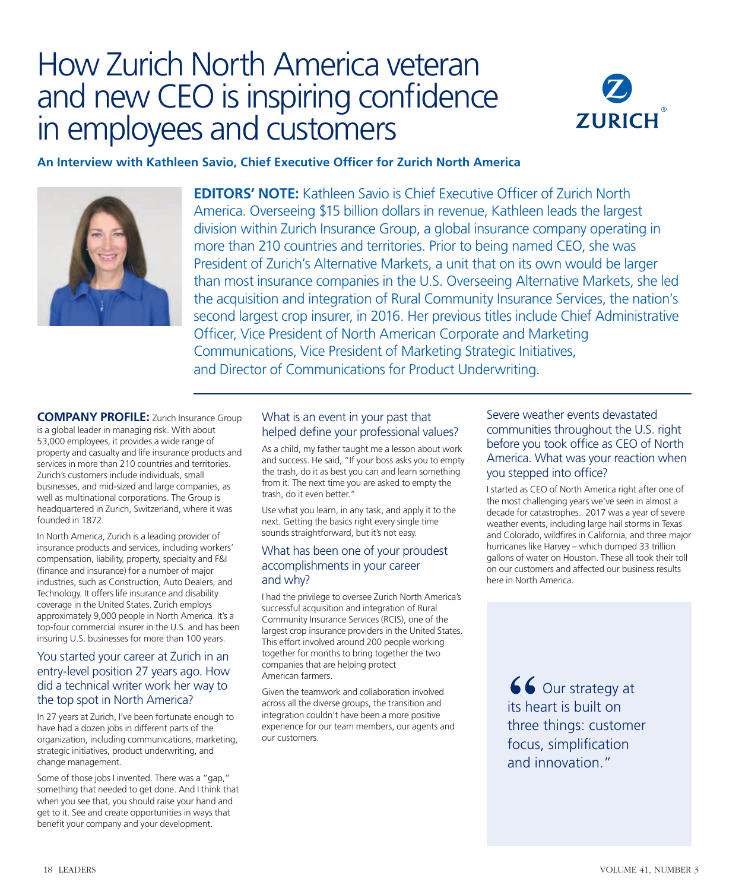# How Zurich North America veteran and new CEO is inspiring confidence in employees and customers



**An Interview with Kathleen Savio, Chief Executive Officer for Zurich North America**



**EDITORS' NOTE:** Kathleen Savio is Chief Executive Officer of Zurich North America. Overseeing \$15 billion dollars in revenue, Kathleen leads the largest division within Zurich Insurance Group, a global insurance company operating in more than 210 countries and territories. Prior to being named CEO, she was President of Zurich's Alternative Markets, a unit that on its own would be larger than most insurance companies in the U.S. Overseeing Alternative Markets, she led the acquisition and integration of Rural Community Insurance Services, the nation's second largest crop insurer, in 2016. Her previous titles include Chief Administrative Officer, Vice President of North American Corporate and Marketing Communications, Vice President of Marketing Strategic Initiatives, and Director of Communications for Product Underwriting.

**COMPANY PROFILE:** Zurich Insurance Group is a global leader in managing risk. With about 53,000 employees, it provides a wide range of property and casualty and life insurance products and services in more than 210 countries and territories. Zurich's customers include individuals, small businesses, and mid-sized and large companies, as well as multinational corporations. The Group is headquartered in Zurich, Switzerland, where it was founded in 1872.

In North America, Zurich is a leading provider of insurance products and services, including workers' compensation, liability, property, specialty and F&I (finance and insurance) for a number of major industries, such as Construction, Auto Dealers, and Technology. It offers life insurance and disability coverage in the United States. Zurich employs approximately 9,000 people in North America. It's a top-four commercial insurer in the U.S. and has been insuring U.S. businesses for more than 100 years.

### You started your career at Zurich in an entry-level position 27 years ago. How did a technical writer work her way to the top spot in North America?

In 27 years at Zurich, I've been fortunate enough to have had a dozen jobs in different parts of the organization, including communications, marketing, strategic initiatives, product underwriting, and change management.

Some of those jobs I invented. There was a "gap," something that needed to get done. And I think that when you see that, you should raise your hand and get to it. See and create opportunities in ways that benefit your company and your development.

## What is an event in your past that helped define your professional values?

As a child, my father taught me a lesson about work and success. He said, "If your boss asks you to empty the trash, do it as best you can and learn something from it. The next time you are asked to empty the trash, do it even better."

Use what you learn, in any task, and apply it to the next. Getting the basics right every single time sounds straightforward, but it's not easy.

#### What has been one of your proudest accomplishments in your career and why?

I had the privilege to oversee Zurich North America's successful acquisition and integration of Rural Community Insurance Services (RCIS), one of the largest crop insurance providers in the United States. This effort involved around 200 people working together for months to bring together the two companies that are helping protect American farmers.

Given the teamwork and collaboration involved across all the diverse groups, the transition and integration couldn't have been a more positive experience for our team members, our agents and our customers.

## Severe weather events devastated communities throughout the U.S. right before you took office as CEO of North America. What was your reaction when you stepped into office?

I started as CEO of North America right after one of the most challenging years we've seen in almost a decade for catastrophes. 2017 was a year of severe weather events, including large hail storms in Texas and Colorado, wildfires in California, and three major hurricanes like Harvey – which dumped 33 trillion gallons of water on Houston. These all took their toll on our customers and affected our business results here in North America.

> $66$  Our strategy at its heart is built on three things: customer focus, simplification and innovation."